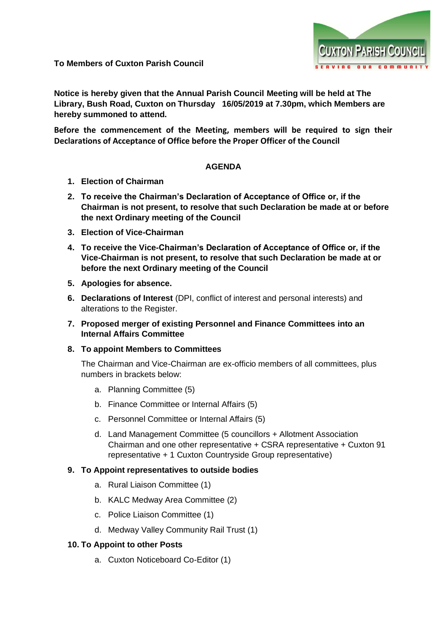

**To Members of Cuxton Parish Council**

**Notice is hereby given that the Annual Parish Council Meeting will be held at The Library, Bush Road, Cuxton on Thursday 16/05/2019 at 7.30pm, which Members are hereby summoned to attend.**

**Before the commencement of the Meeting, members will be required to sign their Declarations of Acceptance of Office before the Proper Officer of the Council**

### **AGENDA**

- **1. Election of Chairman**
- **2. To receive the Chairman's Declaration of Acceptance of Office or, if the Chairman is not present, to resolve that such Declaration be made at or before the next Ordinary meeting of the Council**
- **3. Election of Vice-Chairman**
- **4. To receive the Vice-Chairman's Declaration of Acceptance of Office or, if the Vice-Chairman is not present, to resolve that such Declaration be made at or before the next Ordinary meeting of the Council**
- **5. Apologies for absence.**
- **6. Declarations of Interest** (DPI, conflict of interest and personal interests) and alterations to the Register.
- **7. Proposed merger of existing Personnel and Finance Committees into an Internal Affairs Committee**
- **8. To appoint Members to Committees**

The Chairman and Vice-Chairman are ex-officio members of all committees, plus numbers in brackets below:

- a. Planning Committee (5)
- b. Finance Committee or Internal Affairs (5)
- c. Personnel Committee or Internal Affairs (5)
- d. Land Management Committee (5 councillors + Allotment Association Chairman and one other representative + CSRA representative + Cuxton 91 representative + 1 Cuxton Countryside Group representative)

# **9. To Appoint representatives to outside bodies**

- a. Rural Liaison Committee (1)
- b. KALC Medway Area Committee (2)
- c. Police Liaison Committee (1)
- d. Medway Valley Community Rail Trust (1)

# **10. To Appoint to other Posts**

a. Cuxton Noticeboard Co-Editor (1)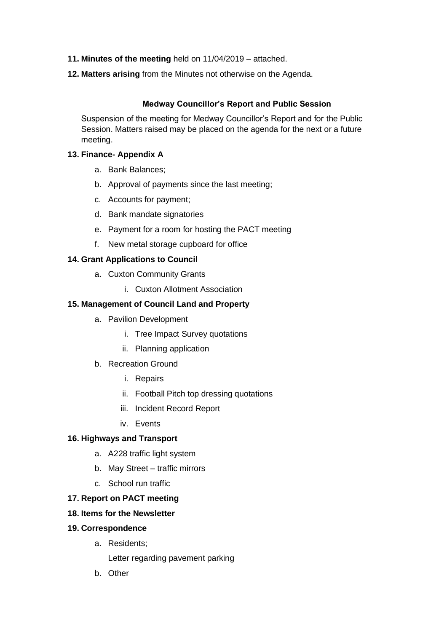- **11. Minutes of the meeting** held on 11/04/2019 attached.
- **12. Matters arising** from the Minutes not otherwise on the Agenda.

# **Medway Councillor's Report and Public Session**

Suspension of the meeting for Medway Councillor's Report and for the Public Session. Matters raised may be placed on the agenda for the next or a future meeting.

## **13. Finance- Appendix A**

- a. Bank Balances;
- b. Approval of payments since the last meeting;
- c. Accounts for payment;
- d. Bank mandate signatories
- e. Payment for a room for hosting the PACT meeting
- f. New metal storage cupboard for office

## **14. Grant Applications to Council**

- a. Cuxton Community Grants
	- i. Cuxton Allotment Association

## **15. Management of Council Land and Property**

- a. Pavilion Development
	- i. Tree Impact Survey quotations
	- ii. Planning application
- b. Recreation Ground
	- i. Repairs
	- ii. Football Pitch top dressing quotations
	- iii. Incident Record Report
	- iv. Events

# **16. Highways and Transport**

- a. A228 traffic light system
- b. May Street traffic mirrors
- c. School run traffic

### **17. Report on PACT meeting**

## **18. Items for the Newsletter**

### **19. Correspondence**

- a. Residents;
	- Letter regarding pavement parking
- b. Other